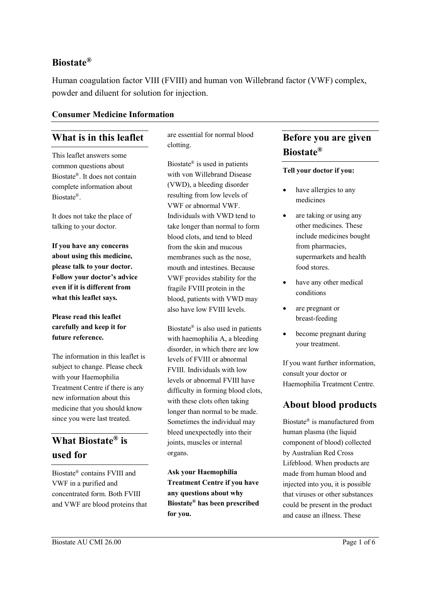#### **Biostate®**

Human coagulation factor VIII (FVIII) and human von Willebrand factor (VWF) complex, powder and diluent for solution for injection.

#### **Consumer Medicine Information**

### **What is in this leaflet**

This leaflet answers some common questions about Biostate®. It does not contain complete information about Biostate®.

It does not take the place of talking to your doctor.

**If you have any concerns about using this medicine, please talk to your doctor. Follow your doctor's advice even if it is different from what this leaflet says.**

#### **Please read this leaflet carefully and keep it for future reference.**

The information in this leaflet is subject to change. Please check with your Haemophilia Treatment Centre if there is any new information about this medicine that you should know since you were last treated.

# **What Biostate® is used for**

Biostate® contains FVIII and VWF in a purified and concentrated form. Both FVIII and VWF are blood proteins that are essential for normal blood clotting.

Biostate® is used in patients with von Willebrand Disease (VWD), a bleeding disorder resulting from low levels of VWF or abnormal VWF. Individuals with VWD tend to take longer than normal to form blood clots, and tend to bleed from the skin and mucous membranes such as the nose, mouth and intestines. Because VWF provides stability for the fragile FVIII protein in the blood, patients with VWD may also have low FVIII levels.

Biostate® is also used in patients with haemophilia A, a bleeding disorder, in which there are low levels of FVIII or abnormal FVIII. Individuals with low levels or abnormal FVIII have difficulty in forming blood clots, with these clots often taking longer than normal to be made. Sometimes the individual may bleed unexpectedly into their joints, muscles or internal organs.

**Ask your Haemophilia Treatment Centre if you have any questions about why Biostate® has been prescribed for you.**

## **Before you are given Biostate®**

#### **Tell your doctor if you:**

- have allergies to any medicines
- are taking or using any other medicines. These include medicines bought from pharmacies, supermarkets and health food stores.
- have any other medical conditions
- are pregnant or breast-feeding
- become pregnant during your treatment.

If you want further information, consult your doctor or Haemophilia Treatment Centre.

#### **About blood products**

Biostate® is manufactured from human plasma (the liquid component of blood) collected by Australian Red Cross Lifeblood. When products are made from human blood and injected into you, it is possible that viruses or other substances could be present in the product and cause an illness. These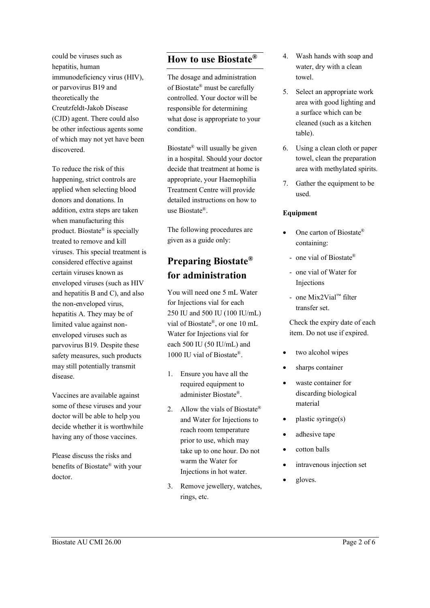could be viruses such as hepatitis, human immunodeficiency virus (HIV), or parvovirus B19 and theoretically the Creutzfeldt-Jakob Disease (CJD) agent. There could also be other infectious agents some of which may not yet have been discovered.

To reduce the risk of this happening, strict controls are applied when selecting blood donors and donations. In addition, extra steps are taken when manufacturing this product. Biostate® is specially treated to remove and kill viruses. This special treatment is considered effective against certain viruses known as enveloped viruses (such as HIV and hepatitis B and C), and also the non-enveloped virus, hepatitis A. They may be of limited value against nonenveloped viruses such as parvovirus B19. Despite these safety measures, such products may still potentially transmit disease.

Vaccines are available against some of these viruses and your doctor will be able to help you decide whether it is worthwhile having any of those vaccines.

Please discuss the risks and benefits of Biostate® with your doctor.

### **How to use Biostate®**

The dosage and administration of Biostate® must be carefully controlled. Your doctor will be responsible for determining what dose is appropriate to your condition.

Biostate® will usually be given in a hospital. Should your doctor decide that treatment at home is appropriate, your Haemophilia Treatment Centre will provide detailed instructions on how to use Biostate®.

The following procedures are given as a guide only:

## **Preparing Biostate® for administration**

You will need one 5 mL Water for Injections vial for each 250 IU and 500 IU (100 IU/mL) vial of Biostate®, or one 10 mL Water for Injections vial for each 500 IU (50 IU/mL) and 1000 IU vial of Biostate®.

- 1. Ensure you have all the required equipment to administer Biostate®.
- 2. Allow the vials of Biostate<sup>®</sup> and Water for Injections to reach room temperature prior to use, which may take up to one hour. Do not warm the Water for Injections in hot water.
- 3. Remove jewellery, watches, rings, etc.
- 4. Wash hands with soap and water, dry with a clean towel.
- 5. Select an appropriate work area with good lighting and a surface which can be cleaned (such as a kitchen table).
- 6. Using a clean cloth or paper towel, clean the preparation area with methylated spirits.
- 7. Gather the equipment to be used.

#### **Equipment**

- One carton of Biostate® containing:
	- one vial of Biostate®
	- one vial of Water for Injections
	- one Mix2Vial™ filter transfer set.

Check the expiry date of each item. Do not use if expired.

- two alcohol wipes
- sharps container
- waste container for discarding biological material
- plastic syringe(s)
- adhesive tape
- cotton balls
- intravenous injection set
- gloves.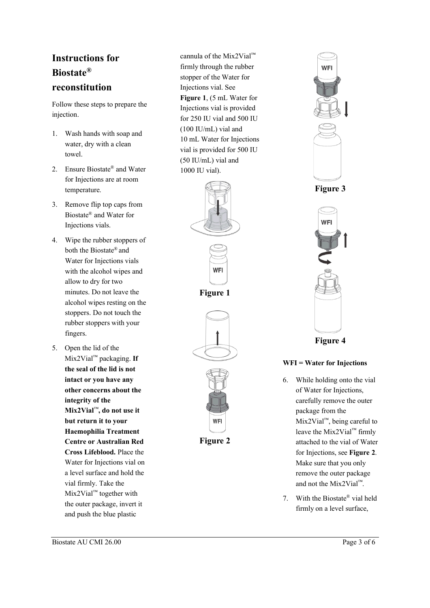## **Instructions for Biostate® reconstitution**

Follow these steps to prepare the injection.

- 1. Wash hands with soap and water, dry with a clean towel.
- 2. Ensure Biostate® and Water for Injections are at room temperature.
- 3. Remove flip top caps from Biostate® and Water for Injections vials.
- 4. Wipe the rubber stoppers of both the Biostate® and Water for Injections vials with the alcohol wipes and allow to dry for two minutes. Do not leave the alcohol wipes resting on the stoppers. Do not touch the rubber stoppers with your fingers.
- 5. Open the lid of the Mix2Vial™ packaging. **If the seal of the lid is not intact or you have any other concerns about the integrity of the Mix2Vial**™**, do not use it but return it to your Haemophilia Treatment Centre or Australian Red Cross Lifeblood.** Place the Water for Injections vial on a level surface and hold the vial firmly. Take the Mix2Vial ™ together with the outer package, invert it and push the blue plastic

cannula of the Mix2Vial™ firmly through the rubber stopper of the Water for Injections vial. See **Figure 1**, (5 mL Water for Injections vial is provided for 250 IU vial and 500 IU (100 IU/mL) vial and 10 mL Water for Injections vial is provided for 500 IU (50 IU/mL) vial and 1000 IU vial).





**Figure 1**



**Figure 2**



**Figure 4**

#### **WFI = Water for Injections**

- 6. While holding onto the vial of Water for Injections, carefully remove the outer package from the Mix2Vial™, being careful to leave the Mix2Vial™ firmly attached to the vial of Water for Injections, see **Figure 2**. Make sure that you only remove the outer package and not the Mix2Vial™.
- 7. With the Biostate® vial held firmly on a level surface,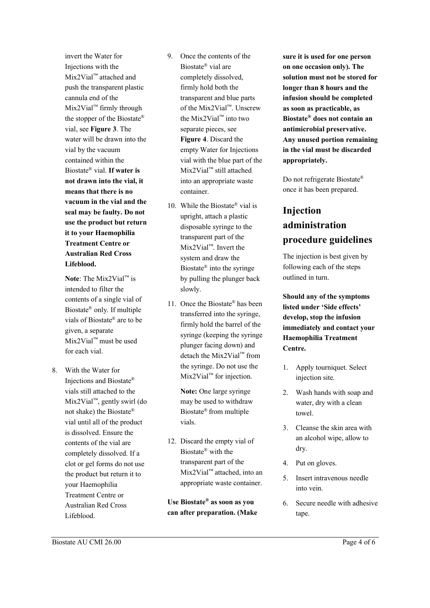invert the Water for Injections with the Mix2Vial™ attached and push the transparent plastic cannula end of the Mix2Vial™ firmly through the stopper of the Biostate® vial, see **Figure 3**. The water will be drawn into the vial by the vacuum contained within the Biostate® vial. **If water is not drawn into the vial, it means that there is no vacuum in the vial and the seal may be faulty. Do not use the product but return it to your Haemophilia Treatment Centre or Australian Red Cross Lifeblood.**

**Note**: The Mix2Vial™ is intended to filter the contents of a single vial of Biostate® only. If multiple vials of Biostate® are to be given, a separate Mix2Vial™ must be used for each vial.

8. With the Water for Injections and Biostate® vials still attached to the Mix2Vial™, gently swirl (do not shake) the Biostate® vial until all of the product is dissolved. Ensure the contents of the vial are completely dissolved. If a clot or gel forms do not use the product but return it to your Haemophilia Treatment Centre or Australian Red Cross Lifeblood.

- 9. Once the contents of the Biostate® vial are completely dissolved, firmly hold both the transparent and blue parts of the Mix2Vial™. Unscrew the Mix2Vial™ into two separate pieces, see **Figure 4**. Discard the empty Water for Injections vial with the blue part of the Mix2Vial™ still attached into an appropriate waste container.
- 10. While the Biostate® vial is upright, attach a plastic disposable syringe to the transparent part of the Mix2Vial™. Invert the system and draw the Biostate® into the syringe by pulling the plunger back slowly.
- 11. Once the Biostate® has been transferred into the syringe, firmly hold the barrel of the syringe (keeping the syringe plunger facing down) and detach the Mix2Vial™ from the syringe. Do not use the Mix2Vial™ for injection.

**Note:** One large syringe may be used to withdraw Biostate® from multiple vials.

12. Discard the empty vial of Biostate® with the transparent part of the Mix2Vial™ attached, into an appropriate waste container.

**Use Biostate® as soon as you can after preparation. (Make** 

**sure it is used for one person on one occasion only). The solution must not be stored for longer than 8 hours and the infusion should be completed as soon as practicable, as Biostate® does not contain an antimicrobial preservative. Any unused portion remaining in the vial must be discarded appropriately.**

Do not refrigerate Biostate® once it has been prepared.

# **Injection administration procedure guidelines**

The injection is best given by following each of the steps outlined in turn.

**Should any of the symptoms listed under 'Side effects' develop, stop the infusion immediately and contact your Haemophilia Treatment Centre.**

- 1. Apply tourniquet. Select injection site.
- 2. Wash hands with soap and water, dry with a clean towel.
- 3. Cleanse the skin area with an alcohol wipe, allow to dry.
- 4. Put on gloves.
- 5. Insert intravenous needle into vein.
- 6. Secure needle with adhesive tape.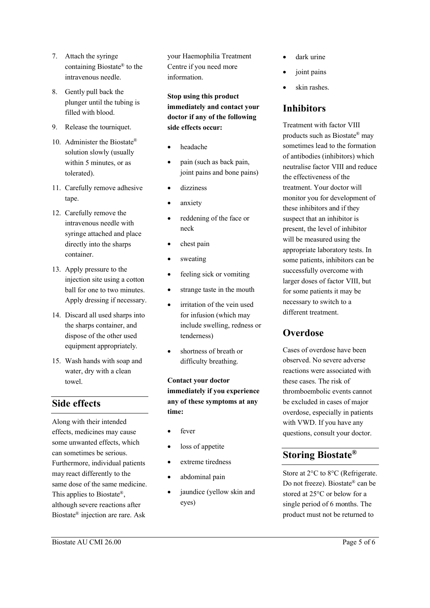- 7. Attach the syringe containing Biostate® to the intravenous needle.
- 8. Gently pull back the plunger until the tubing is filled with blood.
- 9. Release the tourniquet.
- 10. Administer the Biostate® solution slowly (usually within 5 minutes, or as tolerated).
- 11. Carefully remove adhesive tape.
- 12. Carefully remove the intravenous needle with syringe attached and place directly into the sharps container.
- 13. Apply pressure to the injection site using a cotton ball for one to two minutes. Apply dressing if necessary.
- 14. Discard all used sharps into the sharps container, and dispose of the other used equipment appropriately.
- 15. Wash hands with soap and water, dry with a clean towel.

## **Side effects**

Along with their intended effects, medicines may cause some unwanted effects, which can sometimes be serious. Furthermore, individual patients may react differently to the same dose of the same medicine. This applies to Biostate<sup>®</sup>. although severe reactions after Biostate® injection are rare. Ask

your Haemophilia Treatment Centre if you need more information.

**Stop using this product immediately and contact your doctor if any of the following side effects occur:**

- headache
- pain (such as back pain, joint pains and bone pains)
- dizziness
- anxiety
- reddening of the face or neck
- chest pain
- sweating
- feeling sick or vomiting
- strange taste in the mouth
- irritation of the vein used for infusion (which may include swelling, redness or tenderness)
- shortness of breath or difficulty breathing.

**Contact your doctor immediately if you experience any of these symptoms at any time:**

- fever
- loss of appetite
- extreme tiredness
- abdominal pain
- jaundice (yellow skin and eyes)
- dark urine
- joint pains
- skin rashes.

### **Inhibitors**

Treatment with factor VIII products such as Biostate® may sometimes lead to the formation of antibodies (inhibitors) which neutralise factor VIII and reduce the effectiveness of the treatment. Your doctor will monitor you for development of these inhibitors and if they suspect that an inhibitor is present, the level of inhibitor will be measured using the appropriate laboratory tests. In some patients, inhibitors can be successfully overcome with larger doses of factor VIII, but for some patients it may be necessary to switch to a different treatment.

## **Overdose**

Cases of overdose have been observed. No severe adverse reactions were associated with these cases. The risk of thromboembolic events cannot be excluded in cases of major overdose, especially in patients with VWD. If you have any questions, consult your doctor.

## **Storing Biostate®**

Store at 2°C to 8°C (Refrigerate. Do not freeze). Biostate® can be stored at 25°C or below for a single period of 6 months. The product must not be returned to